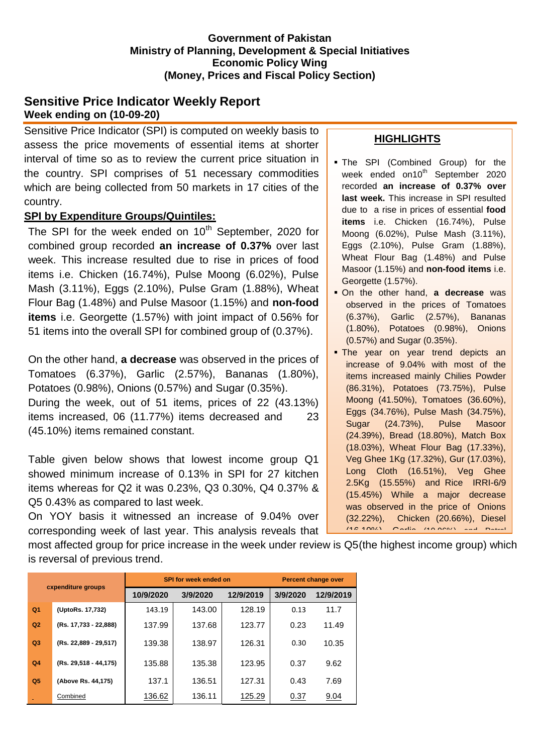#### **Government of Pakistan Ministry of Planning, Development & Special Initiatives Economic Policy Wing (Money, Prices and Fiscal Policy Section)**

## **Sensitive Price Indicator Weekly Report Week ending on (10-09-20)**

Sensitive Price Indicator (SPI) is computed on weekly basis to assess the price movements of essential items at shorter interval of time so as to review the current price situation in the country. SPI comprises of 51 necessary commodities which are being collected from 50 markets in 17 cities of the country.

## **SPI by Expenditure Groups/Quintiles:**

The SPI for the week ended on  $10<sup>th</sup>$  September, 2020 for combined group recorded **an increase of 0.37%** over last week. This increase resulted due to rise in prices of food items i.e. Chicken (16.74%), Pulse Moong (6.02%), Pulse Mash (3.11%), Eggs (2.10%), Pulse Gram (1.88%), Wheat Flour Bag (1.48%) and Pulse Masoor (1.15%) and **non-food items** i.e. Georgette (1.57%) with joint impact of 0.56% for 51 items into the overall SPI for combined group of (0.37%).

On the other hand, **a decrease** was observed in the prices of Tomatoes (6.37%), Garlic (2.57%), Bananas (1.80%), Potatoes (0.98%), Onions (0.57%) and Sugar (0.35%). During the week, out of 51 items, prices of 22 (43.13%) items increased, 06 (11.77%) items decreased and 23 (45.10%) items remained constant.

Table given below shows that lowest income group Q1 showed minimum increase of 0.13% in SPI for 27 kitchen items whereas for Q2 it was 0.23%, Q3 0.30%, Q4 0.37% & Q5 0.43% as compared to last week.

On YOY basis it witnessed an increase of 9.04% over corresponding week of last year. This analysis reveals that

# **HIGHLIGHTS**

- The SPI (Combined Group) for the week ended on10<sup>th</sup> September 2020 recorded **an increase of 0.37% over last week.** This increase in SPI resulted due to a rise in prices of essential **food items** i.e. Chicken (16.74%), Pulse Moong (6.02%), Pulse Mash (3.11%), Eggs (2.10%), Pulse Gram (1.88%), Wheat Flour Bag (1.48%) and Pulse Masoor (1.15%) and **non-food items** i.e. Georgette (1.57%).
- On the other hand, **a decrease** was observed in the prices of Tomatoes (6.37%), Garlic (2.57%), Bananas (1.80%), Potatoes (0.98%), Onions (0.57%) and Sugar (0.35%).
- **The year on year trend depicts an** increase of 9.04% with most of the items increased mainly Chilies Powder (86.31%), Potatoes (73.75%), Pulse Moong (41.50%), Tomatoes (36.60%), Eggs (34.76%), Pulse Mash (34.75%), Sugar (24.73%), Pulse Masoor (24.39%), Bread (18.80%), Match Box (18.03%), Wheat Flour Bag (17.33%), Veg Ghee 1Kg (17.32%), Gur (17.03%), Long Cloth (16.51%), Veg Ghee 2.5Kg (15.55%) and Rice IRRI-6/9 (15.45%) While a major decrease was observed in the price of Onions (32.22%), Chicken (20.66%), Diesel  $(16.100/1)$ , Carlie,  $(10.900/1)$ , and Petrol

most affected group for price increase in the week under review is Q5(the highest income group) which is reversal of previous trend.

| cxpenditure groups |                       |           | <b>SPI for week ended on</b> | <b>Percent change over</b> |          |           |
|--------------------|-----------------------|-----------|------------------------------|----------------------------|----------|-----------|
|                    |                       | 10/9/2020 | 3/9/2020                     | 12/9/2019                  | 3/9/2020 | 12/9/2019 |
| Q <sub>1</sub>     | (UptoRs. 17,732)      | 143.19    | 143.00                       | 128.19                     | 0.13     | 11.7      |
| Q2                 | (Rs. 17,733 - 22,888) | 137.99    | 137.68                       | 123.77                     | 0.23     | 11.49     |
| Q <sub>3</sub>     | (Rs. 22,889 - 29,517) | 139.38    | 138.97                       | 126.31                     | 0.30     | 10.35     |
| Q <sub>4</sub>     | (Rs. 29,518 - 44,175) | 135.88    | 135.38                       | 123.95                     | 0.37     | 9.62      |
| Q <sub>5</sub>     | (Above Rs. 44,175)    | 137.1     | 136.51                       | 127.31                     | 0.43     | 7.69      |
|                    | Combined              | 136.62    | 136.11                       | 125.29                     | 0.37     | 9.04      |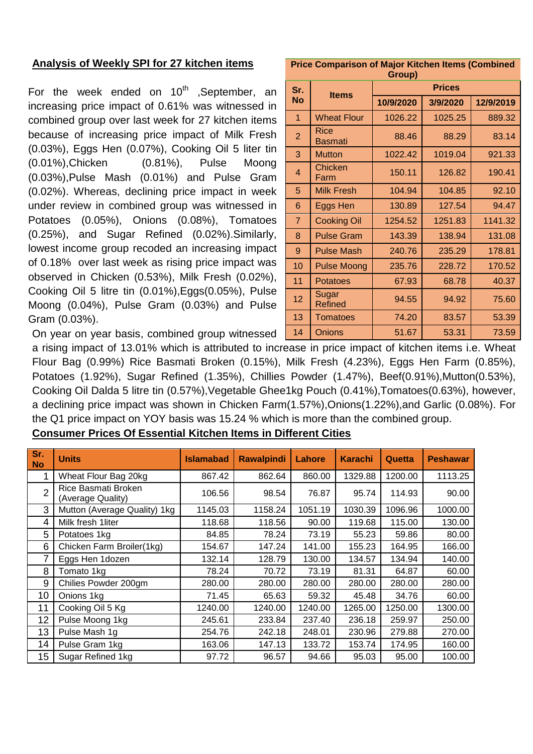### **Analysis of Weekly SPI for 27 kitchen items**

For the week ended on  $10^{th}$  , September, an increasing price impact of 0.61% was witnessed in combined group over last week for 27 kitchen items because of increasing price impact of Milk Fresh (0.03%), Eggs Hen (0.07%), Cooking Oil 5 liter tin (0.01%),Chicken (0.81%), Pulse Moong (0.03%),Pulse Mash (0.01%) and Pulse Gram (0.02%). Whereas, declining price impact in week under review in combined group was witnessed in Potatoes (0.05%), Onions (0.08%), Tomatoes (0.25%), and Sugar Refined (0.02%).Similarly, lowest income group recoded an increasing impact of 0.18% over last week as rising price impact was observed in Chicken (0.53%), Milk Fresh (0.02%), Cooking Oil 5 litre tin (0.01%),Eggs(0.05%), Pulse Moong (0.04%), Pulse Gram (0.03%) and Pulse Gram (0.03%).

**Price Comparison of Major Kitchen Items (Combined Group)**

| Sr.             | <b>Items</b>            | <b>Prices</b> |          |           |  |  |  |  |
|-----------------|-------------------------|---------------|----------|-----------|--|--|--|--|
| <b>No</b>       |                         | 10/9/2020     | 3/9/2020 | 12/9/2019 |  |  |  |  |
| 1               | <b>Wheat Flour</b>      | 1026.22       | 1025.25  | 889.32    |  |  |  |  |
| $\overline{2}$  | Rice<br>Basmati         | 88.46         | 88.29    | 83.14     |  |  |  |  |
| 3               | <b>Mutton</b>           | 1022.42       | 1019.04  | 921.33    |  |  |  |  |
| $\overline{4}$  | Chicken<br>Farm         | 150.11        | 126.82   | 190.41    |  |  |  |  |
| 5               | <b>Milk Fresh</b>       | 104.94        | 104.85   | 92.10     |  |  |  |  |
| 6               | Eggs Hen                | 130.89        | 127.54   | 94.47     |  |  |  |  |
| $\overline{7}$  | <b>Cooking Oil</b>      | 1254.52       | 1251.83  | 1141.32   |  |  |  |  |
| 8               | <b>Pulse Gram</b>       | 143.39        | 138.94   | 131.08    |  |  |  |  |
| 9               | <b>Pulse Mash</b>       | 240.76        | 235.29   | 178.81    |  |  |  |  |
| 10              | <b>Pulse Moong</b>      | 235.76        | 228.72   | 170.52    |  |  |  |  |
| 11              | Potatoes                | 67.93         | 68.78    | 40.37     |  |  |  |  |
| 12 <sub>2</sub> | Sugar<br><b>Refined</b> | 94.55         | 94.92    | 75.60     |  |  |  |  |
| 13              | <b>Tomatoes</b>         | 74.20         | 83.57    | 53.39     |  |  |  |  |
| 14              | <b>Onions</b>           | 51.67         | 53.31    | 73.59     |  |  |  |  |

On year on year basis, combined group witnessed

a rising impact of 13.01% which is attributed to increase in price impact of kitchen items i.e. Wheat Flour Bag (0.99%) Rice Basmati Broken (0.15%), Milk Fresh (4.23%), Eggs Hen Farm (0.85%), Potatoes (1.92%), Sugar Refined (1.35%), Chillies Powder (1.47%), Beef(0.91%),Mutton(0.53%), Cooking Oil Dalda 5 litre tin (0.57%),Vegetable Ghee1kg Pouch (0.41%),Tomatoes(0.63%), however, a declining price impact was shown in Chicken Farm(1.57%),Onions(1.22%),and Garlic (0.08%). For the Q1 price impact on YOY basis was 15.24 % which is more than the combined group.

| Sr.<br><b>No</b> | <b>Units</b>                             | <b>Islamabad</b> | <b>Rawalpindi</b> | Lahore  | <b>Karachi</b> | Quetta  | <b>Peshawar</b> |
|------------------|------------------------------------------|------------------|-------------------|---------|----------------|---------|-----------------|
|                  | Wheat Flour Bag 20kg                     | 867.42           | 862.64            | 860.00  | 1329.88        | 1200.00 | 1113.25         |
| $\overline{2}$   | Rice Basmati Broken<br>(Average Quality) | 106.56           | 98.54             | 76.87   | 95.74          | 114.93  | 90.00           |
| 3                | Mutton (Average Quality) 1kg             | 1145.03          | 1158.24           | 1051.19 | 1030.39        | 1096.96 | 1000.00         |
| 4                | Milk fresh 1liter                        | 118.68           | 118.56            | 90.00   | 119.68         | 115.00  | 130.00          |
| 5                | Potatoes 1kg                             | 84.85            | 78.24             | 73.19   | 55.23          | 59.86   | 80.00           |
| 6                | Chicken Farm Broiler(1kg)                | 154.67           | 147.24            | 141.00  | 155.23         | 164.95  | 166.00          |
|                  | Eggs Hen 1dozen                          | 132.14           | 128.79            | 130.00  | 134.57         | 134.94  | 140.00          |
| 8                | Tomato 1kg                               | 78.24            | 70.72             | 73.19   | 81.31          | 64.87   | 60.00           |
| 9                | Chilies Powder 200gm                     | 280.00           | 280.00            | 280.00  | 280.00         | 280.00  | 280.00          |
| 10               | Onions 1kg                               | 71.45            | 65.63             | 59.32   | 45.48          | 34.76   | 60.00           |
| 11               | Cooking Oil 5 Kg                         | 1240.00          | 1240.00           | 1240.00 | 1265.00        | 1250.00 | 1300.00         |
| 12               | Pulse Moong 1kg                          | 245.61           | 233.84            | 237.40  | 236.18         | 259.97  | 250.00          |
| 13               | Pulse Mash 1g                            | 254.76           | 242.18            | 248.01  | 230.96         | 279.88  | 270.00          |
| 14               | Pulse Gram 1kg                           | 163.06           | 147.13            | 133.72  | 153.74         | 174.95  | 160.00          |
| 15               | Sugar Refined 1kg                        | 97.72            | 96.57             | 94.66   | 95.03          | 95.00   | 100.00          |

### **Consumer Prices Of Essential Kitchen Items in Different Cities**